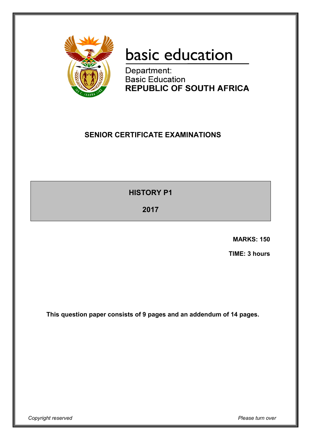

# basic education

Department: **Basic Education REPUBLIC OF SOUTH AFRICA** 

# **SENIOR CERTIFICATE EXAMINATIONS**

**HISTORY P1**

**2017**

 **MARKS: 150**

 **TIME: 3 hours**

**This question paper consists of 9 pages and an addendum of 14 pages.**

*Copyright reserved Please turn over*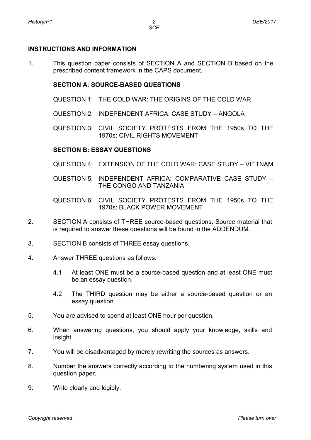## **INSTRUCTIONS AND INFORMATION**

1. This question paper consists of SECTION A and SECTION B based on the prescribed content framework in the CAPS document.

## **SECTION A: SOURCE-BASED QUESTIONS**

- QUESTION 1: THE COLD WAR: THE ORIGINS OF THE COLD WAR
- QUESTION 2: INDEPENDENT AFRICA: CASE STUDY ANGOLA
- QUESTION 3: CIVIL SOCIETY PROTESTS FROM THE 1950s TO THE 1970s: CIVIL RIGHTS MOVEMENT

# **SECTION B: ESSAY QUESTIONS**

- QUESTION 4: EXTENSION OF THE COLD WAR: CASE STUDY VIETNAM
- QUESTION 5: INDEPENDENT AFRICA: COMPARATIVE CASE STUDY THE CONGO AND TANZANIA
- QUESTION 6: CIVIL SOCIETY PROTESTS FROM THE 1950s TO THE 1970s: BLACK POWER MOVEMENT
- 2. SECTION A consists of THREE source-based questions. Source material that is required to answer these questions will be found in the ADDENDUM.
- 3. SECTION B consists of THREE essay questions.
- 4. Answer THREE questions as follows:
	- 4.1 At least ONE must be a source-based question and at least ONE must be an essay question.
	- 4.2 The THIRD question may be either a source-based question or an essay question.
- 5. You are advised to spend at least ONE hour per question.
- 6. When answering questions, you should apply your knowledge, skills and insight.
- 7. You will be disadvantaged by merely rewriting the sources as answers.
- 8. Number the answers correctly according to the numbering system used in this question paper.
- 9. Write clearly and legibly.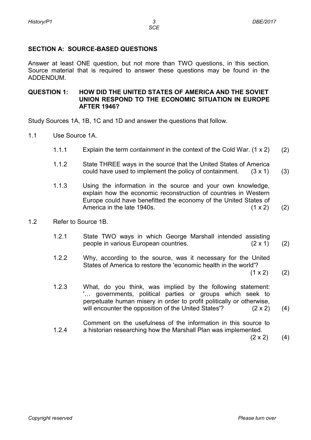# **SECTION A: SOURCE-BASED QUESTIONS**

Answer at least ONE question, but not more than TWO questions, in this section. Source material that is required to answer these questions may be found in the ADDENDUM.

#### **QUESTION 1: HOW DID THE UNITED STATES OF AMERICA AND THE SOVIET UNION RESPOND TO THE ECONOMIC SITUATION IN EUROPE AFTER 1946?**

Study Sources 1A, 1B, 1C and 1D and answer the questions that follow.

- 1.1 Use Source 1A.
	- 1.1.1 Explain the term c*ontainment* in the context of the Cold War. (1 x 2) (2)
	- 1.1.2 State THREE ways in the source that the United States of America could have used to implement the policy of containment. (3 x 1) (3)
	- 1.1.3 Using the information in the source and your own knowledge, explain how the economic reconstruction of countries in Western Europe could have benefitted the economy of the United States of America in the late 1940s. (1 x 2) (2)
- 1.2 Refer to Source 1B.
	- 1.2.1 State TWO ways in which George Marshall intended assisting people in various European countries. (2 x 1) (2)
	- 122 Why, according to the source, was it necessary for the United States of America to restore the 'economic health in the world'?  $(1 \times 2)$ 
		- (2)
	- 1.2.3 What, do you think, was implied by the following statement: '… governments, political parties or groups which seek to perpetuate human misery in order to profit politically or otherwise, will encounter the opposition of the United States'? (2 x 2) (4)
	- 1.2.4 Comment on the usefulness of the information in this source to a historian researching how the Marshall Plan was implemented.

 $(2 \times 2)$ (4)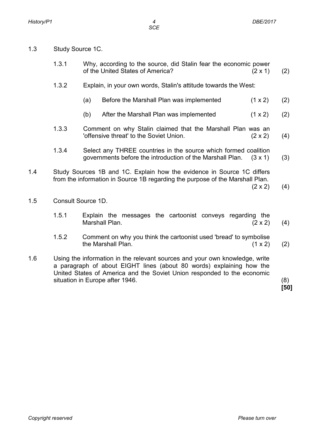- 1.3 Study Source 1C.
	- 1.3.1 Why, according to the source, did Stalin fear the economic power of the United States of America? (2 x 1) (2)
	- 1.3.2 Explain, in your own words, Stalin's attitude towards the West:
		- (a) Before the Marshall Plan was implemented  $(1 \times 2)$ (2)
		- (b) After the Marshall Plan was implemented  $(1 \times 2)$ (2)
	- 1.3.3 Comment on why Stalin claimed that the Marshall Plan was an 'offensive threat' to the Soviet Union. (2 x 2) (4)
	- 1.3.4 Select any THREE countries in the source which formed coalition governments before the introduction of the Marshall Plan. (3 x 1) (3)
- 1.4 Study Sources 1B and 1C. Explain how the evidence in Source 1C differs from the information in Source 1B regarding the purpose of the Marshall Plan.

 $(2 \times 2)$  (4)

- 1.5 Consult Source 1D.
	- 1.5.1 Explain the messages the cartoonist conveys regarding the Marshall Plan. (2 x 2) (4)
	- 1.5.2 Comment on why you think the cartoonist used 'bread' to symbolise the Marshall Plan. (1 x 2) (2)
- 1.6 Using the information in the relevant sources and your own knowledge, write a paragraph of about EIGHT lines (about 80 words) explaining how the United States of America and the Soviet Union responded to the economic situation in Europe after 1946. (8)

**[50]**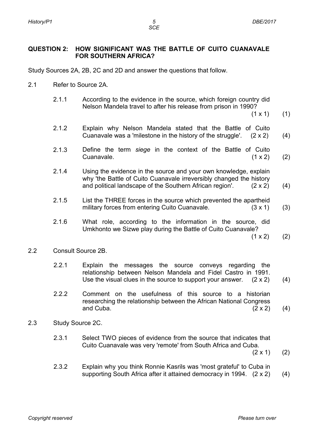*SCE*

#### **QUESTION 2: HOW SIGNIFICANT WAS THE BATTLE OF CUITO CUANAVALE FOR SOUTHERN AFRICA?**

Study Sources 2A, 2B, 2C and 2D and answer the questions that follow.

- 2.1 Refer to Source 2A.
	- 2.1.1 According to the evidence in the source, which foreign country did Nelson Mandela travel to after his release from prison in 1990?

 $(1 \times 1)$ (1)

- 2.1.2 Explain why Nelson Mandela stated that the Battle of Cuito Cuanavale was a 'milestone in the history of the struggle'.  $(2 \times 2)$ (4)
- 2.1.3 Define the term *siege* in the context of the Battle of Cuito Cuanavale. (1 x 2) (2)
- 2.1.4 Using the evidence in the source and your own knowledge, explain why 'the Battle of Cuito Cuanavale irreversibly changed the history and political landscape of the Southern African region'. (2 x 2) (4)
- 2.1.5 List the THREE forces in the source which prevented the apartheid military forces from entering Cuito Cuanavale. (3 x 1) (3)
- 2.1.6 What role, according to the information in the source, did Umkhonto we Sizwe play during the Battle of Cuito Cuanavale?

 $(1 \times 2)$ (2)

- 2.2 Consult Source 2B.
	- 2.2.1 Explain the messages the source conveys regarding the relationship between Nelson Mandela and Fidel Castro in 1991. Use the visual clues in the source to support your answer.  $(2 \times 2)$ (4)
	- 2.2.2 Comment on the usefulness of this source to a historian researching the relationship between the African National Congress and Cuba.  $(2 \times 2)$ (4)
- 2.3 Study Source 2C.
	- 2.3.1 Select TWO pieces of evidence from the source that indicates that Cuito Cuanavale was very 'remote' from South Africa and Cuba.

(2 x 1) (2)

2.3.2 Explain why you think Ronnie Kasrils was 'most grateful' to Cuba in supporting South Africa after it attained democracy in 1994. (2 x 2) (4)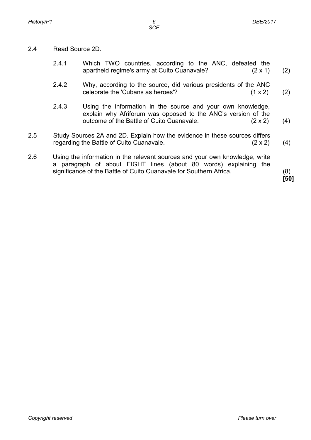- 2.4 Read Source 2D.
	- 2.4.1 Which TWO countries, according to the ANC, defeated the apartheid regime's army at Cuito Cuanavale? (2 x 1) (2)
	- 2.42 Why, according to the source, did various presidents of the ANC celebrate the 'Cubans as heroes'?  $(1 \times 2)$ (2)
	- 2.4.3 Using the information in the source and your own knowledge, explain why Afriforum was opposed to the ANC's version of the outcome of the Battle of Cuito Cuanavale. (2 x 2) (4)
- 2.5 Study Sources 2A and 2D. Explain how the evidence in these sources differs regarding the Battle of Cuito Cuanavale.  $(2 \times 2)$  (4)
- 2.6 Using the information in the relevant sources and your own knowledge, write a paragraph of about EIGHT lines (about 80 words) explaining the significance of the Battle of Cuito Cuanavale for Southern Africa. (8)

**[50]**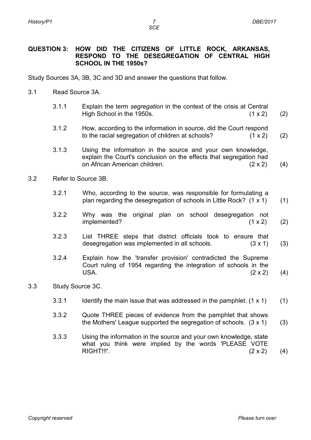*SCE*

#### **QUESTION 3: HOW DID THE CITIZENS OF LITTLE ROCK, ARKANSAS, RESPOND TO THE DESEGREGATION OF CENTRAL HIGH SCHOOL IN THE 1950s?**

Study Sources 3A, 3B, 3C and 3D and answer the questions that follow.

- 3.1 Read Source 3A.
	- 3.1.1 Explain the term *segregation* in the context of the crisis at Central High School in the 1950s.  $(1 \times 2)$ (2)
	- 3.1.2 How, according to the information in source, did the Court respond to the racial segregation of children at schools? (1 x 2) (2)
	- 3.1.3 Using the information in the source and your own knowledge, explain the Court's conclusion on the effects that segregation had on African American children. (2 x 2) (4)
- 3.2 Refer to Source 3B.
	- 3.2.1 Who, according to the source, was responsible for formulating a plan regarding the desegregation of schools in Little Rock? (1 x 1) (1)
	- 3.2.2 Why was the original plan on school desegregation not implemented? (1 x 2) (2)
	- 3.2.3 List THREE steps that district officials took to ensure that desegregation was implemented in all schools. (3 x 1) (3)
	- 3.2.4 Explain how the 'transfer provision' contradicted the Supreme Court ruling of 1954 regarding the integration of schools in the USA.  $(2 \times 2)$ (4)
- 3.3 Study Source 3C.
	- 3.3.1 Identify the main issue that was addressed in the pamphlet.  $(1 \times 1)$ (1)
	- 3.3.2 Quote THREE pieces of evidence from the pamphlet that shows the Mothers' League supported the segregation of schools. (3 x 1) (3)
	- 3.3.3 Using the information in the source and your own knowledge, state what you think were implied by the words 'PLEASE VOTE RIGHT!!!'. (2 x 2) (4)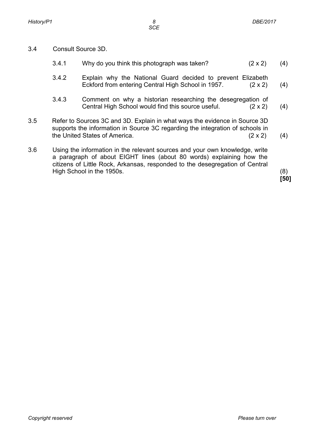3.4 Consult Source 3D.

| (4)<br>$(2 \times 2)$                                                                                                                                                                                                                              |
|----------------------------------------------------------------------------------------------------------------------------------------------------------------------------------------------------------------------------------------------------|
| Explain why the National Guard decided to prevent Elizabeth<br>$(2 \times 2)$<br>(4)                                                                                                                                                               |
| Comment on why a historian researching the desegregation of<br>$(2 \times 2)$<br>(4)                                                                                                                                                               |
| Refer to Sources 3C and 3D. Explain in what ways the evidence in Source 3D<br>supports the information in Source 3C regarding the integration of schools in<br>$(2 \times 2)$<br>(4)                                                               |
| Using the information in the relevant sources and your own knowledge, write<br>a paragraph of about EIGHT lines (about 80 words) explaining how the<br>citizens of Little Rock, Arkansas, responded to the desegregation of Central<br>(8)<br>[50] |
|                                                                                                                                                                                                                                                    |